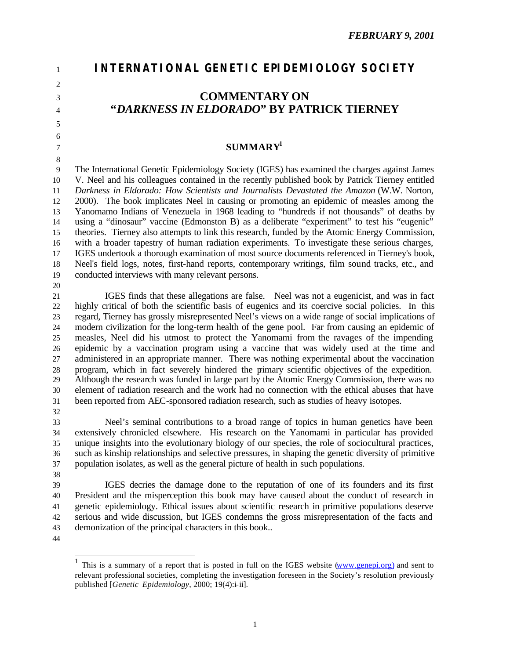# **INTERNATIONAL GENETIC EPIDEMIOLOGY SOCIETY COMMENTARY ON "***DARKNESS IN ELDORADO***" BY PATRICK TIERNEY**

## **SUMMARY<sup>1</sup>**

 The International Genetic Epidemiology Society (IGES) has examined the charges against James V. Neel and his colleagues contained in the recently published book by Patrick Tierney entitled *Darkness in Eldorado: How Scientists and Journalists Devastated the Amazon* (W.W. Norton, 2000). The book implicates Neel in causing or promoting an epidemic of measles among the Yanomamo Indians of Venezuela in 1968 leading to "hundreds if not thousands" of deaths by using a "dinosaur" vaccine (Edmonston B) as a deliberate "experiment" to test his "eugenic" theories. Tierney also attempts to link this research, funded by the Atomic Energy Commission, with a broader tapestry of human radiation experiments. To investigate these serious charges, IGES undertook a thorough examination of most source documents referenced in Tierney's book, Neel's field logs, notes, first-hand reports, contemporary writings, film sound tracks, etc., and conducted interviews with many relevant persons.

 $\overline{2}$ 

 

 

 IGES finds that these allegations are false. Neel was not a eugenicist, and was in fact highly critical of both the scientific basis of eugenics and its coercive social policies. In this regard, Tierney has grossly misrepresented Neel's views on a wide range of social implications of modern civilization for the long-term health of the gene pool. Far from causing an epidemic of measles, Neel did his utmost to protect the Yanomami from the ravages of the impending epidemic by a vaccination program using a vaccine that was widely used at the time and administered in an appropriate manner. There was nothing experimental about the vaccination program, which in fact severely hindered the primary scientific objectives of the expedition. Although the research was funded in large part by the Atomic Energy Commission, there was no element of radiation research and the work had no connection with the ethical abuses that have been reported from AEC-sponsored radiation research, such as studies of heavy isotopes. 

 Neel's seminal contributions to a broad range of topics in human genetics have been extensively chronicled elsewhere. His research on the Yanomami in particular has provided unique insights into the evolutionary biology of our species, the role of sociocultural practices, such as kinship relationships and selective pressures, in shaping the genetic diversity of primitive population isolates, as well as the general picture of health in such populations.

 IGES decries the damage done to the reputation of one of its founders and its first President and the misperception this book may have caused about the conduct of research in genetic epidemiology. Ethical issues about scientific research in primitive populations deserve serious and wide discussion, but IGES condemns the gross misrepresentation of the facts and demonization of the principal characters in this book..

<sup>&</sup>lt;sup>1</sup> This is a summary of a report that is posted in full on the IGES website (www.genepi.org) and sent to relevant professional societies, completing the investigation foreseen in the Society's resolution previously published [*Genetic Epidemiology*, 2000; 19(4):i-ii].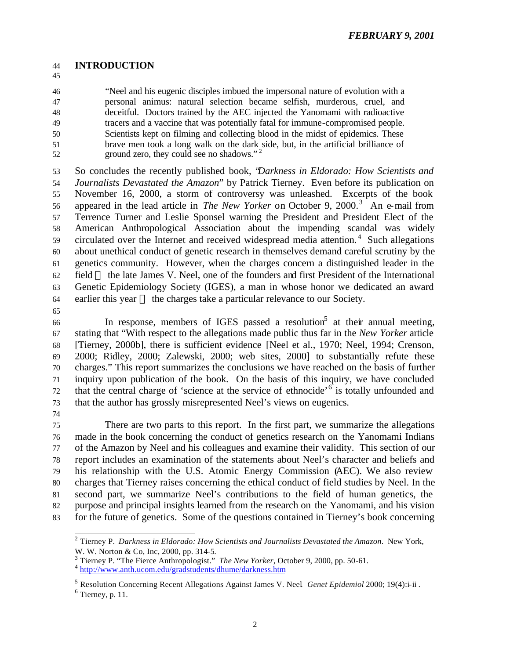#### **INTRODUCTION**

 "Neel and his eugenic disciples imbued the impersonal nature of evolution with a personal animus: natural selection became selfish, murderous, cruel, and deceitful. Doctors trained by the AEC injected the Yanomami with radioactive tracers and a vaccine that was potentially fatal for immune-compromised people. Scientists kept on filming and collecting blood in the midst of epidemics. These brave men took a long walk on the dark side, but, in the artificial brilliance of ground zero, they could see no shadows." <sup>2</sup>

 So concludes the recently published book, "*Darkness in Eldorado: How Scientists and Journalists Devastated the Amazon*" by Patrick Tierney. Even before its publication on November 16, 2000, a storm of controversy was unleashed. Excerpts of the book 56 appeared in the lead article in *The New Yorker* on October 9, 2000.<sup>3</sup> An e-mail from Terrence Turner and Leslie Sponsel warning the President and President Elect of the American Anthropological Association about the impending scandal was widely 59 circulated over the Internet and received widespread media attention.<sup>4</sup> Such allegations about unethical conduct of genetic research in themselves demand careful scrutiny by the genetics community. However, when the charges concern a distinguished leader in the 62 field — the late James V. Neel, one of the founders and first President of the International Genetic Epidemiology Society (IGES), a man in whose honor we dedicated an award 64 earlier this year — the charges take a particular relevance to our Society.

66 In response, members of IGES passed a resolution<sup>5</sup> at their annual meeting, stating that "With respect to the allegations made public thus far in the *New Yorker* article [Tierney, 2000b], there is sufficient evidence [Neel et al., 1970; Neel, 1994; Crenson, 2000; Ridley, 2000; Zalewski, 2000; web sites, 2000] to substantially refute these charges." This report summarizes the conclusions we have reached on the basis of further inquiry upon publication of the book. On the basis of this inquiry, we have concluded  $\frac{1}{2}$  that the central charge of 'science at the service of ethnocide'<sup>6</sup> is totally unfounded and that the author has grossly misrepresented Neel's views on eugenics.

 There are two parts to this report. In the first part, we summarize the allegations made in the book concerning the conduct of genetics research on the Yanomami Indians of the Amazon by Neel and his colleagues and examine their validity. This section of our report includes an examination of the statements about Neel's character and beliefs and his relationship with the U.S. Atomic Energy Commission (AEC). We also review charges that Tierney raises concerning the ethical conduct of field studies by Neel. In the second part, we summarize Neel's contributions to the field of human genetics, the purpose and principal insights learned from the research on the Yanomami, and his vision for the future of genetics. Some of the questions contained in Tierney's book concerning

 2 Tierney P. *Darkness in Eldorado: How Scientists and Journalists Devastated the Amazon*. New York, W. W. Norton & Co, Inc, 2000, pp. 314-5.

<sup>&</sup>lt;sup>3</sup> Tierney P. "The Fierce Anthropologist." *The New Yorker*, October 9, 2000, pp. 50-61.

<sup>&</sup>lt;sup>4</sup> http://www.anth.ucom.edu/gradstudents/dhume/darkness.htm

Resolution Concerning Recent Allegations Against James V. Neel*. Genet Epidemiol* 2000; 19(4):i-ii .

 $<sup>6</sup>$  Tierney, p. 11.</sup>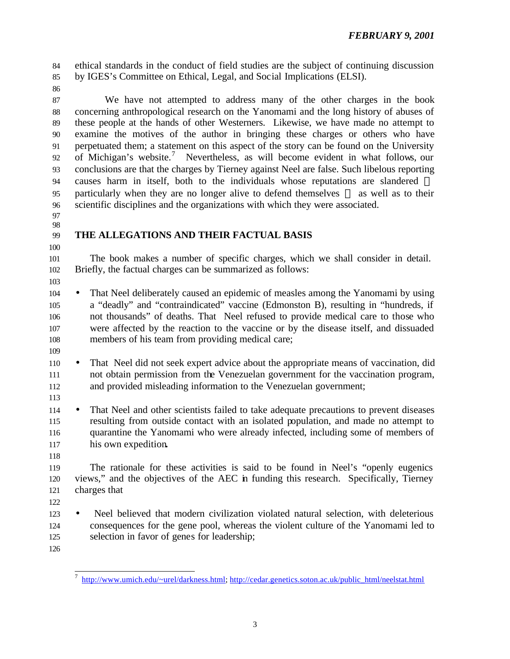ethical standards in the conduct of field studies are the subject of continuing discussion by IGES's Committee on Ethical, Legal, and Social Implications (ELSI).

 We have not attempted to address many of the other charges in the book concerning anthropological research on the Yanomami and the long history of abuses of these people at the hands of other Westerners. Likewise, we have made no attempt to examine the motives of the author in bringing these charges or others who have perpetuated them; a statement on this aspect of the story can be found on the University 92 of Michigan's website.<sup>7</sup> Nevertheless, as will become evident in what follows, our conclusions are that the charges by Tierney against Neel are false. Such libelous reporting causes harm in itself, both to the individuals whose reputations are slandered 95 particularly when they are no longer alive to defend themselves — as well as to their scientific disciplines and the organizations with which they were associated.

- 
- 
- 

#### **THE ALLEGATIONS AND THEIR FACTUAL BASIS**

 The book makes a number of specific charges, which we shall consider in detail. Briefly, the factual charges can be summarized as follows:

 • That Neel deliberately caused an epidemic of measles among the Yanomami by using a "deadly" and "contraindicated" vaccine (Edmonston B), resulting in "hundreds, if not thousands" of deaths. That Neel refused to provide medical care to those who were affected by the reaction to the vaccine or by the disease itself, and dissuaded members of his team from providing medical care;

- 
- That Neel did not seek expert advice about the appropriate means of vaccination, did not obtain permission from the Venezuelan government for the vaccination program, and provided misleading information to the Venezuelan government;
- 

 • That Neel and other scientists failed to take adequate precautions to prevent diseases resulting from outside contact with an isolated population, and made no attempt to quarantine the Yanomami who were already infected, including some of members of his own expedition**.**

 The rationale for these activities is said to be found in Neel's "openly eugenics views," and the objectives of the AEC in funding this research. Specifically, Tierney charges that

- 
- Neel believed that modern civilization violated natural selection, with deleterious consequences for the gene pool, whereas the violent culture of the Yanomami led to selection in favor of genes for leadership;
- 

l http://www.umich.edu/~urel/darkness.html; http://cedar.genetics.soton.ac.uk/public\_html/neelstat.html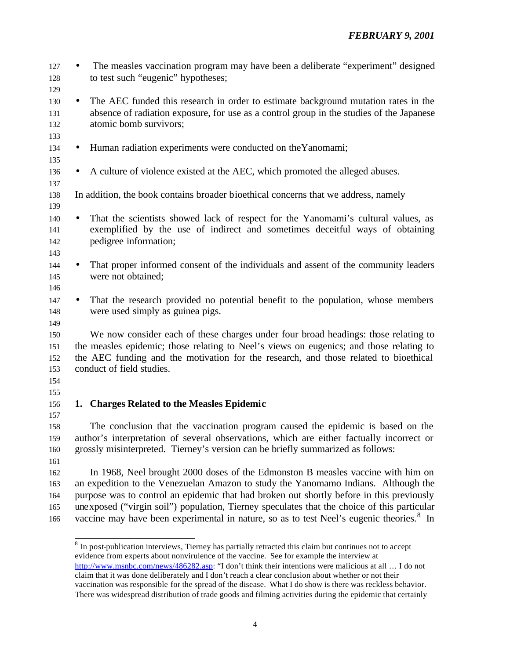- The measles vaccination program may have been a deliberate "experiment" designed to test such "eugenic" hypotheses;
- 

 • The AEC funded this research in order to estimate background mutation rates in the absence of radiation exposure, for use as a control group in the studies of the Japanese atomic bomb survivors;

- Human radiation experiments were conducted on theYanomami;
- A culture of violence existed at the AEC, which promoted the alleged abuses.
- In addition, the book contains broader bioethical concerns that we address, namely
- 
- That the scientists showed lack of respect for the Yanomami's cultural values, as exemplified by the use of indirect and sometimes deceitful ways of obtaining pedigree information;
- 
- That proper informed consent of the individuals and assent of the community leaders were not obtained;
- 
- That the research provided no potential benefit to the population, whose members were used simply as guinea pigs.
- 

 We now consider each of these charges under four broad headings: those relating to the measles epidemic; those relating to Neel's views on eugenics; and those relating to the AEC funding and the motivation for the research, and those related to bioethical conduct of field studies.

 

**1. Charges Related to the Measles Epidemic**

 The conclusion that the vaccination program caused the epidemic is based on the author's interpretation of several observations, which are either factually incorrect or grossly misinterpreted. Tierney's version can be briefly summarized as follows:

 In 1968, Neel brought 2000 doses of the Edmonston B measles vaccine with him on an expedition to the Venezuelan Amazon to study the Yanomamo Indians. Although the purpose was to control an epidemic that had broken out shortly before in this previously unexposed ("virgin soil") population, Tierney speculates that the choice of this particular 166 vaccine may have been experimental in nature, so as to test Neel's eugenic theories.<sup>8</sup> In

<sup>&</sup>lt;sup>8</sup> In post-publication interviews, Tierney has partially retracted this claim but continues not to accept evidence from experts about nonvirulence of the vaccine. See for example the interview at http://www.msnbc.com/news/486282.asp: "I don't think their intentions were malicious at all … I do not claim that it was done deliberately and I don't reach a clear conclusion about whether or not their vaccination was responsible for the spread of the disease. What I do show is there was reckless behavior. There was widespread distribution of trade goods and filming activities during the epidemic that certainly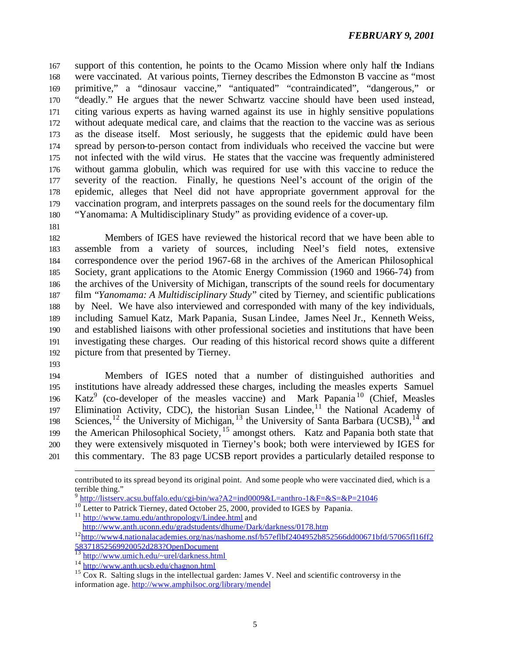support of this contention, he points to the Ocamo Mission where only half the Indians were vaccinated. At various points, Tierney describes the Edmonston B vaccine as "most primitive," a "dinosaur vaccine," "antiquated" "contraindicated", "dangerous," or "deadly." He argues that the newer Schwartz vaccine should have been used instead, citing various experts as having warned against its use in highly sensitive populations without adequate medical care, and claims that the reaction to the vaccine was as serious as the disease itself. Most seriously, he suggests that the epidemic could have been spread by person-to-person contact from individuals who received the vaccine but were not infected with the wild virus. He states that the vaccine was frequently administered without gamma globulin, which was required for use with this vaccine to reduce the severity of the reaction. Finally, he questions Neel's account of the origin of the epidemic, alleges that Neel did not have appropriate government approval for the vaccination program, and interprets passages on the sound reels for the documentary film "Yanomama: A Multidisciplinary Study" as providing evidence of a cover-up.

 Members of IGES have reviewed the historical record that we have been able to assemble from a variety of sources, including Neel's field notes, extensive correspondence over the period 1967-68 in the archives of the American Philosophical Society, grant applications to the Atomic Energy Commission (1960 and 1966-74) from the archives of the University of Michigan, transcripts of the sound reels for documentary film "*Yanomama: A Multidisciplinary Study*" cited by Tierney, and scientific publications by Neel. We have also interviewed and corresponded with many of the key individuals, including Samuel Katz, Mark Papania, Susan Lindee, James Neel Jr., Kenneth Weiss, and established liaisons with other professional societies and institutions that have been investigating these charges. Our reading of this historical record shows quite a different picture from that presented by Tierney.

l

 Members of IGES noted that a number of distinguished authorities and institutions have already addressed these charges, including the measles experts Samuel 196 Katz<sup>9</sup> (co-developer of the measles vaccine) and Mark Papania<sup>10</sup> (Chief, Measles 197 Elimination Activity, CDC), the historian Susan Lindee,<sup>11</sup> the National Academy of Sciences,<sup>12</sup> the University of Michigan,<sup>13</sup> the University of Santa Barbara (UCSB),<sup>14</sup> and the American Philosophical Society, amongst others. Katz and Papania both state that they were extensively misquoted in Tierney's book; both were interviewed by IGES for this commentary. The 83 page UCSB report provides a particularly detailed response to

http://www.tamu.edu/anthropology/Lindee.html and

http://www.anth.uconn.edu/gradstudents/dhume/Dark/darkness/0178.htm

contributed to its spread beyond its original point. And some people who were vaccinated died, which is a terrible thing."

<sup>&</sup>lt;sup>9</sup> http://listserv.acsu.buffalo.edu/cgi-bin/wa?A2=ind0009&L=anthro-1&F=&S=&P=21046

<sup>&</sup>lt;sup>10</sup> Letter to Patrick Tierney, dated October 25, 2000, provided to IGES by Papania.

<sup>&</sup>lt;sup>12</sup>http://www4.nationalacademies.org/nas/nashome.nsf/b57eflbf2404952b852566dd00671bfd/57065fl16ff2 58371852569920052d283?OpenDocument

<sup>&</sup>lt;sup>13</sup> http://www.umich.edu/~urel/darkness.html

http://www.anth.ucsb.edu/chagnon.html

 $15 \overline{\text{Cox R}}$ . Salting slugs in the intellectual garden: James V. Neel and scientific controversy in the information age. http://www.amphilsoc.org/library/mendel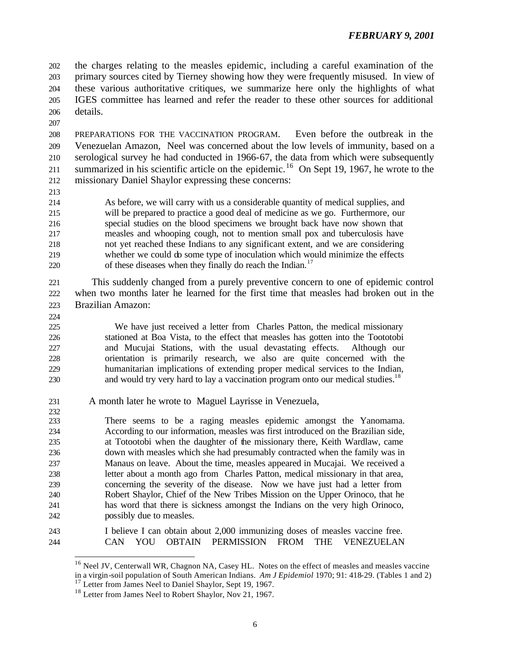the charges relating to the measles epidemic, including a careful examination of the primary sources cited by Tierney showing how they were frequently misused. In view of these various authoritative critiques, we summarize here only the highlights of what IGES committee has learned and refer the reader to these other sources for additional details.

 PREPARATIONS FOR THE VACCINATION PROGRAM. Even before the outbreak in the Venezuelan Amazon, Neel was concerned about the low levels of immunity, based on a serological survey he had conducted in 1966-67, the data from which were subsequently 211 summarized in his scientific article on the epidemic.<sup>16</sup> On Sept 19, 1967, he wrote to the missionary Daniel Shaylor expressing these concerns:

 As before, we will carry with us a considerable quantity of medical supplies, and will be prepared to practice a good deal of medicine as we go. Furthermore, our special studies on the blood specimens we brought back have now shown that measles and whooping cough, not to mention small pox and tuberculosis have not yet reached these Indians to any significant extent, and we are considering whether we could do some type of inoculation which would minimize the effects of these diseases when they finally do reach the Indian.<sup>17</sup>

 This suddenly changed from a purely preventive concern to one of epidemic control when two months later he learned for the first time that measles had broken out in the Brazilian Amazon:

l

 We have just received a letter from Charles Patton, the medical missionary stationed at Boa Vista, to the effect that measles has gotten into the Toototobi and Mucujai Stations, with the usual devastating effects. Although our orientation is primarily research, we also are quite concerned with the humanitarian implications of extending proper medical services to the Indian, 230 and would try very hard to lay a vaccination program onto our medical studies.<sup>18</sup>

A month later he wrote to Maguel Layrisse in Venezuela,

 There seems to be a raging measles epidemic amongst the Yanomama. According to our information, measles was first introduced on the Brazilian side, at Totootobi when the daughter of the missionary there, Keith Wardlaw, came down with measles which she had presumably contracted when the family was in Manaus on leave. About the time, measles appeared in Mucajai. We received a letter about a month ago from Charles Patton, medical missionary in that area, concerning the severity of the disease. Now we have just had a letter from Robert Shaylor, Chief of the New Tribes Mission on the Upper Orinoco, that he has word that there is sickness amongst the Indians on the very high Orinoco, possibly due to measles.

 I believe I can obtain about 2,000 immunizing doses of measles vaccine free. CAN YOU OBTAIN PERMISSION FROM THE VENEZUELAN

<sup>&</sup>lt;sup>16</sup> Neel JV, Centerwall WR, Chagnon NA, Casey HL. Notes on the effect of measles and measles vaccine in a virgin-soil population of South American Indians. *Am J Epidemiol* 1970; 91: 418-29. (Tables 1 and 2)

<sup>&</sup>lt;sup>17</sup> Letter from James Neel to Daniel Shaylor, Sept 19, 1967.

<sup>&</sup>lt;sup>18</sup> Letter from James Neel to Robert Shaylor, Nov 21, 1967.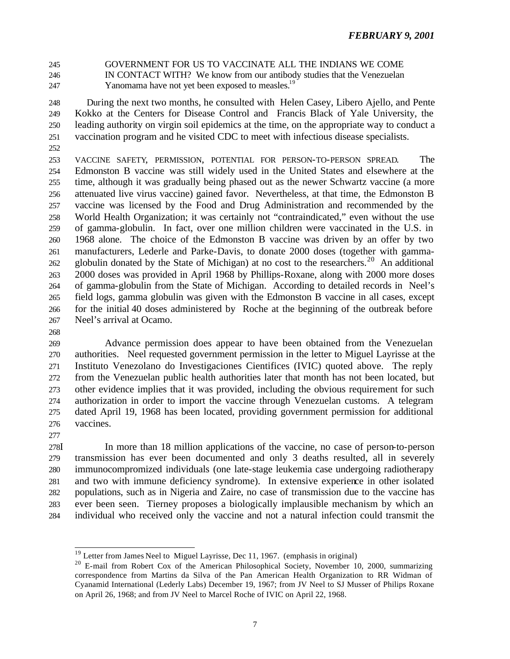GOVERNMENT FOR US TO VACCINATE ALL THE INDIANS WE COME IN CONTACT WITH? We know from our antibody studies that the Venezuelan 247 Yanomama have not yet been exposed to measles.<sup>19</sup>

 During the next two months, he consulted with Helen Casey, Libero Ajello, and Pente Kokko at the Centers for Disease Control and Francis Black of Yale University, the leading authority on virgin soil epidemics at the time, on the appropriate way to conduct a vaccination program and he visited CDC to meet with infectious disease specialists.

 VACCINE SAFETY, PERMISSION, POTENTIAL FOR PERSON-TO-PERSON SPREAD. The Edmonston B vaccine was still widely used in the United States and elsewhere at the time, although it was gradually being phased out as the newer Schwartz vaccine (a more attenuated live virus vaccine) gained favor. Nevertheless, at that time, the Edmonston B vaccine was licensed by the Food and Drug Administration and recommended by the World Health Organization; it was certainly not "contraindicated," even without the use of gamma-globulin. In fact, over one million children were vaccinated in the U.S. in 1968 alone. The choice of the Edmonston B vaccine was driven by an offer by two manufacturers, Lederle and Parke-Davis, to donate 2000 doses (together with gamma-262 globulin donated by the State of Michigan) at no cost to the researchers.<sup>20</sup> An additional 2000 doses was provided in April 1968 by Phillips-Roxane, along with 2000 more doses of gamma-globulin from the State of Michigan. According to detailed records in Neel's field logs, gamma globulin was given with the Edmonston B vaccine in all cases, except for the initial 40 doses administered by Roche at the beginning of the outbreak before Neel's arrival at Ocamo.

 Advance permission does appear to have been obtained from the Venezuelan authorities. Neel requested government permission in the letter to Miguel Layrisse at the Instituto Venezolano do Investigaciones Cientifices (IVIC) quoted above. The reply from the Venezuelan public health authorities later that month has not been located, but other evidence implies that it was provided, including the obvious requirement for such authorization in order to import the vaccine through Venezuelan customs. A telegram dated April 19, 1968 has been located, providing government permission for additional vaccines. 

I In more than 18 million applications of the vaccine, no case of person-to-person transmission has ever been documented and only 3 deaths resulted, all in severely immunocompromized individuals (one late-stage leukemia case undergoing radiotherapy and two with immune deficiency syndrome). In extensive experience in other isolated populations, such as in Nigeria and Zaire, no case of transmission due to the vaccine has ever been seen. Tierney proposes a biologically implausible mechanism by which an individual who received only the vaccine and not a natural infection could transmit the

l Letter from James Neel to Miguel Layrisse, Dec 11, 1967. (emphasis in original)

<sup>&</sup>lt;sup>20</sup> E-mail from Robert Cox of the American Philosophical Society, November 10, 2000, summarizing correspondence from Martins da Silva of the Pan American Health Organization to RR Widman of Cyanamid International (Lederly Labs) December 19, 1967; from JV Neel to SJ Musser of Philips Roxane on April 26, 1968; and from JV Neel to Marcel Roche of IVIC on April 22, 1968.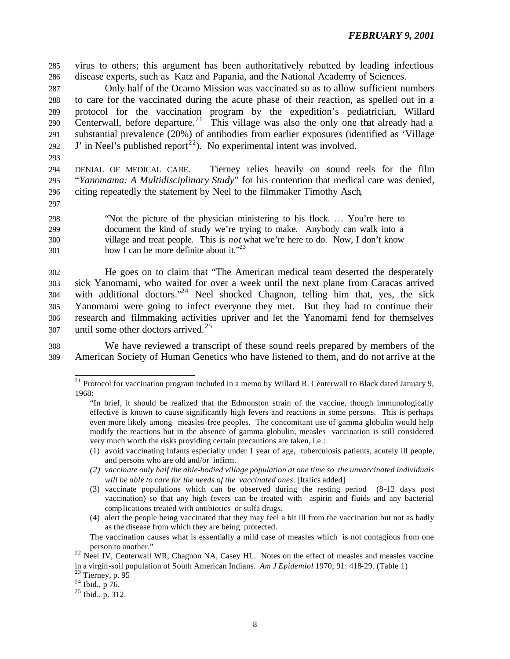285 virus to others; this argument has been authoritatively rebutted by leading infectious 286 disease experts, such as Katz and Papania, and the National Academy of Sciences.

 Only half of the Ocamo Mission was vaccinated so as to allow sufficient numbers to care for the vaccinated during the acute phase of their reaction, as spelled out in a protocol for the vaccination program by the expedition's pediatrician, Willard 290 Centerwall, before departure.<sup>21</sup> This village was also the only one that already had a substantial prevalence (20%) of antibodies from earlier exposures (identified as 'Village J' in Neel's published report<sup>22</sup>). No experimental intent was involved.

293

294 DENIAL OF MEDICAL CARE. Tierney relies heavily on sound reels for the film 295 "*Yanomama: A Multidisciplinary Study*" for his contention that medical care was denied, 296 citing repeatedly the statement by Neel to the filmmaker Timothy Asch*,*

297

l

 "Not the picture of the physician ministering to his flock. … You're here to document the kind of study we're trying to make. Anybody can walk into a village and treat people. This is *not* what we're here to do. Now, I don't know 301 how I can be more definite about it." $^{23}$ 

 He goes on to claim that "The American medical team deserted the desperately sick Yanomami, who waited for over a week until the next plane from Caracas arrived 304 with additional doctors."<sup>24</sup> Neel shocked Chagnon, telling him that, yes, the sick Yanomami were going to infect everyone they met. But they had to continue their research and filmmaking activities upriver and let the Yanomami fend for themselves until some other doctors arrived.<sup>25</sup>

308 We have reviewed a transcript of these sound reels prepared by members of the 309 American Society of Human Genetics who have listened to them, and do not arrive at the

 $21$  Protocol for vaccination program included in a memo by Willard R. Centerwall to Black dated January 9, 1968:

<sup>&</sup>quot;In brief, it should be realized that the Edmonston strain of the vaccine, though immunologically effective is known to cause significantly high fevers and reactions in some persons. This is perhaps even more likely among measles-free peoples. The concomitant use of gamma globulin would help modify the reactions but in the absence of gamma globulin, measles vaccination is still considered very much worth the risks providing certain precautions are taken, i.e.:

<sup>(1)</sup> avoid vaccinating infants especially under 1 year of age, tuberculosis patients, acutely ill people, and persons who are old and/or infirm.

*<sup>(2)</sup> vaccinate only half the able-bodied village population at one time so the unvaccinated individuals will be able to care for the needs of the vaccinated ones.* [Italics added]

<sup>(3)</sup> vaccinate populations which can be observed during the resting period (8-12 days post vaccination) so that any high fevers can be treated with aspirin and fluids and any bacterial complications treated with antibiotics or sulfa drugs.

<sup>(4)</sup> alert the people being vaccinated that they may feel a bit ill from the vaccination but not as badly as the disease from which they are being protected.

The vaccination causes what is essentially a mild case of measles which is not contagious from one person to another."

<sup>&</sup>lt;sup>22</sup> Neel JV, Centerwall WR, Chagnon NA, Casey HL. Notes on the effect of measles and measles vaccine in a virgin-soil population of South American Indians. *Am J Epidemiol* 1970; 91: 418-29. (Table 1)

 $23$  Tierney, p. 95

 $^{24}$  Ibid., p 76.

 $^{25}$  Ibid., p. 312.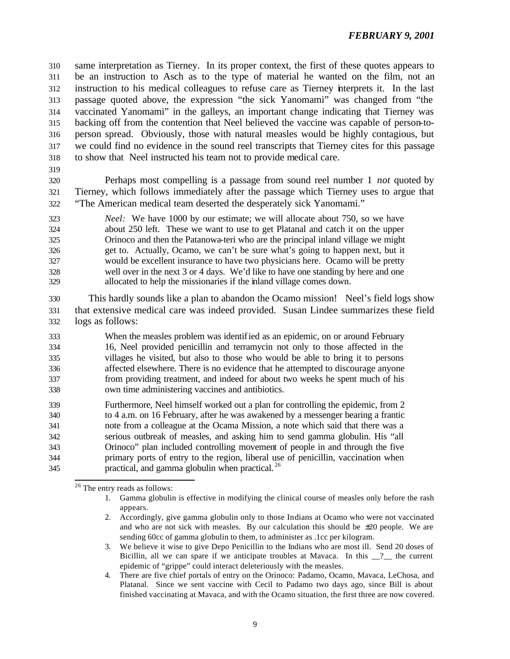same interpretation as Tierney. In its proper context, the first of these quotes appears to be an instruction to Asch as to the type of material he wanted on the film, not an instruction to his medical colleagues to refuse care as Tierney interprets it. In the last passage quoted above, the expression "the sick Yanomami" was changed from "the vaccinated Yanomami" in the galleys, an important change indicating that Tierney was backing off from the contention that Neel believed the vaccine was capable of person-to- person spread. Obviously, those with natural measles would be highly contagious, but we could find no evidence in the sound reel transcripts that Tierney cites for this passage to show that Neel instructed his team not to provide medical care.

 Perhaps most compelling is a passage from sound reel number 1 *not* quoted by Tierney, which follows immediately after the passage which Tierney uses to argue that "The American medical team deserted the desperately sick Yanomami."

 *Neel:* We have 1000 by our estimate; we will allocate about 750, so we have about 250 left. These we want to use to get Platanal and catch it on the upper Orinoco and then the Patanowa-teri who are the principal inland village we might get to. Actually, Ocamo, we can't be sure what's going to happen next, but it would be excellent insurance to have two physicians here. Ocamo will be pretty well over in the next 3 or 4 days. We'd like to have one standing by here and one allocated to help the missionaries if the inland village comes down.

 This hardly sounds like a plan to abandon the Ocamo mission! Neel's field logs show that extensive medical care was indeed provided. Susan Lindee summarizes these field logs as follows:

 When the measles problem was identified as an epidemic, on or around February 16, Neel provided penicillin and terramycin not only to those affected in the villages he visited, but also to those who would be able to bring it to persons affected elsewhere. There is no evidence that he attempted to discourage anyone from providing treatment, and indeed for about two weeks he spent much of his own time administering vaccines and antibiotics.

 Furthermore, Neel himself worked out a plan for controlling the epidemic, from 2 to 4 a.m. on 16 February, after he was awakened by a messenger bearing a frantic note from a colleague at the Ocama Mission, a note which said that there was a serious outbreak of measles, and asking him to send gamma globulin. His "all Orinoco" plan included controlling movement of people in and through the five primary ports of entry to the region, liberal use of penicillin, vaccination when practical, and gamma globulin when practical.  $^{26}$ 

l The entry reads as follows:

- 1. Gamma globulin is effective in modifying the clinical course of measles only before the rash appears.
- 2. Accordingly, give gamma globulin only to those Indians at Ocamo who were not vaccinated and who are not sick with measles. By our calculation this should be  $\pm 20$  people. We are sending 60cc of gamma globulin to them, to administer as .1cc per kilogram.
- 3. We believe it wise to give Depo Penicillin to the Indians who are most ill. Send 20 doses of Bicillin, all we can spare if we anticipate troubles at Mavaca. In this  $\frac{2}{\sqrt{2}}$  the current epidemic of "grippe" could interact deleteriously with the measles.
- 4. There are five chief portals of entry on the Orinoco: Padamo, Ocamo, Mavaca, LeChosa, and Platanal. Since we sent vaccine with Cecil to Padamo two days ago, since Bill is about finished vaccinating at Mavaca, and with the Ocamo situation, the first three are now covered.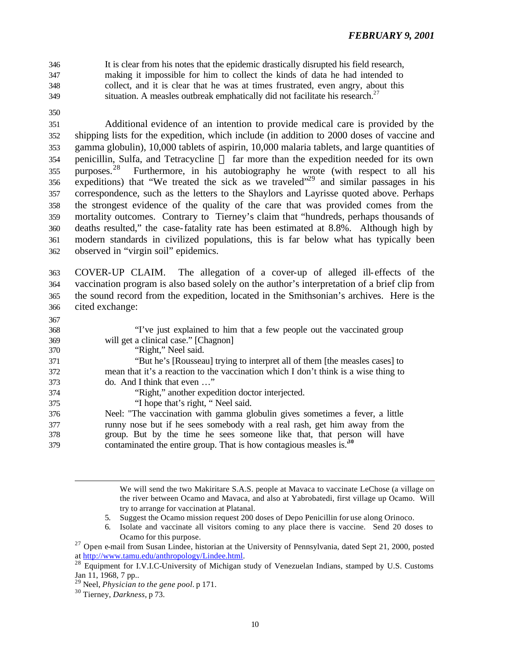It is clear from his notes that the epidemic drastically disrupted his field research, making it impossible for him to collect the kinds of data he had intended to collect, and it is clear that he was at times frustrated, even angry, about this  $\mu$  situation. A measles outbreak emphatically did not facilitate his research.<sup>27</sup>

 Additional evidence of an intention to provide medical care is provided by the shipping lists for the expedition, which include (in addition to 2000 doses of vaccine and gamma globulin), 10,000 tablets of aspirin, 10,000 malaria tablets, and large quantities of penicillin, Sulfa, and Tetracycline far more than the expedition needed for its own purposes.<sup>28</sup> Furthermore, in his autobiography he wrote (with respect to all his  $\frac{1}{256}$  expeditions) that "We treated the sick as we traveled"<sup>29</sup> and similar passages in his correspondence, such as the letters to the Shaylors and Layrisse quoted above. Perhaps the strongest evidence of the quality of the care that was provided comes from the mortality outcomes. Contrary to Tierney's claim that "hundreds, perhaps thousands of deaths resulted," the case-fatality rate has been estimated at 8.8%. Although high by modern standards in civilized populations, this is far below what has typically been observed in "virgin soil" epidemics.

 COVER-UP CLAIM. The allegation of a cover-up of alleged ill-effects of the vaccination program is also based solely on the author's interpretation of a brief clip from the sound record from the expedition, located in the Smithsonian's archives. Here is the cited exchange:

| 367 |                                                                                     |
|-----|-------------------------------------------------------------------------------------|
| 368 | "I've just explained to him that a few people out the vaccinated group              |
| 369 | will get a clinical case." [Chagnon]                                                |
| 370 | "Right," Neel said.                                                                 |
| 371 | "But he's [Rousseau] trying to interpret all of them [the measles cases] to         |
| 372 | mean that it's a reaction to the vaccination which I don't think is a wise thing to |
| 373 | do. And I think that even "                                                         |
| 374 | "Right," another expedition doctor interjected.                                     |
| 375 | "I hope that's right, "Neel said.                                                   |
| 376 | Neel: "The vaccination with gamma globulin gives sometimes a fever, a little        |
| 377 | runny nose but if he sees somebody with a real rash, get him away from the          |
| 378 | group. But by the time he sees someone like that, that person will have             |
| 379 | contaminated the entire group. That is how contagious measles is. <sup>30</sup>     |

We will send the two Makiritare S.A.S. people at Mavaca to vaccinate LeChose (a village on the river between Ocamo and Mavaca, and also at Yabrobatedi, first village up Ocamo. Will try to arrange for vaccination at Platanal.

5. Suggest the Ocamo mission request 200 doses of Depo Penicillin for use along Orinoco.

6. Isolate and vaccinate all visitors coming to any place there is vaccine. Send 20 doses to Ocamo for this purpose.

<sup>27</sup> Open e-mail from Susan Lindee, historian at the University of Pennsylvania, dated Sept 21, 2000, posted at http://www.tamu.edu/anthropology/Lindee.html.

 $^{28}$  Equipment for I.V.I.C-University of Michigan study of Venezuelan Indians, stamped by U.S. Customs Jan 11, 1968, 7 pp..

Neel, *Physician to the gene pool.* p 171.

Tierney, *Darkness*, p 73.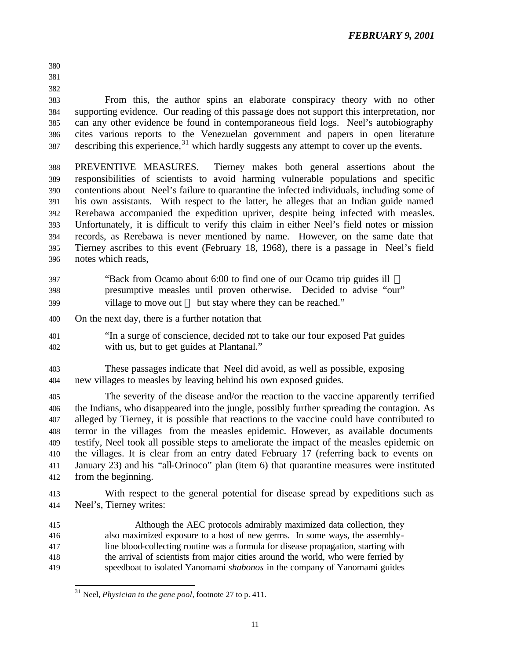From this, the author spins an elaborate conspiracy theory with no other supporting evidence. Our reading of this passage does not support this interpretation, nor can any other evidence be found in contemporaneous field logs. Neel's autobiography cites various reports to the Venezuelan government and papers in open literature describing this experience,  $31$  which hardly suggests any attempt to cover up the events.

 PREVENTIVE MEASURES. Tierney makes both general assertions about the responsibilities of scientists to avoid harming vulnerable populations and specific contentions about Neel's failure to quarantine the infected individuals, including some of his own assistants. With respect to the latter, he alleges that an Indian guide named Rerebawa accompanied the expedition upriver, despite being infected with measles. Unfortunately, it is difficult to verify this claim in either Neel's field notes or mission records, as Rerebawa is never mentioned by name. However, on the same date that Tierney ascribes to this event (February 18, 1968), there is a passage in Neel's field notes which reads,

- "Back from Ocamo about 6:00 to find one of our Ocamo trip guides ill presumptive measles until proven otherwise. Decided to advise "our" 399 village to move out — but stay where they can be reached."
- On the next day, there is a further notation that
- "In a surge of conscience, decided not to take our four exposed Pat guides with us, but to get guides at Plantanal."
- These passages indicate that Neel did avoid, as well as possible, exposing new villages to measles by leaving behind his own exposed guides.

 The severity of the disease and/or the reaction to the vaccine apparently terrified the Indians, who disappeared into the jungle, possibly further spreading the contagion. As alleged by Tierney, it is possible that reactions to the vaccine could have contributed to terror in the villages from the measles epidemic. However, as available documents testify, Neel took all possible steps to ameliorate the impact of the measles epidemic on the villages. It is clear from an entry dated February 17 (referring back to events on January 23) and his "all-Orinoco" plan (item 6) that quarantine measures were instituted from the beginning.

- With respect to the general potential for disease spread by expeditions such as Neel's, Tierney writes:
- Although the AEC protocols admirably maximized data collection, they also maximized exposure to a host of new germs. In some ways, the assembly- line blood-collecting routine was a formula for disease propagation, starting with the arrival of scientists from major cities around the world, who were ferried by speedboat to isolated Yanomami *shabonos* in the company of Yanomami guides

l Neel, *Physician to the gene pool*, footnote 27 to p. 411.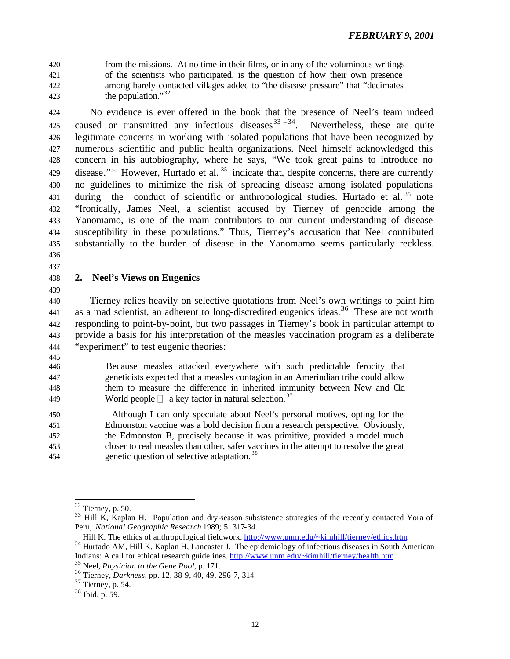from the missions. At no time in their films, or in any of the voluminous writings of the scientists who participated, is the question of how their own presence among barely contacted villages added to "the disease pressure" that "decimates the population."<sup>32</sup>

 No evidence is ever offered in the book that the presence of Neel's team indeed 425 caused or transmitted any infectious diseases<sup>33 – 34</sup>. Nevertheless, these are quite legitimate concerns in working with isolated populations that have been recognized by numerous scientific and public health organizations. Neel himself acknowledged this concern in his autobiography, where he says, "We took great pains to introduce no 429 disease." However, Hurtado et al.  $35$  indicate that, despite concerns, there are currently no guidelines to minimize the risk of spreading disease among isolated populations 431 during the conduct of scientific or anthropological studies. Hurtado et al. note "Ironically, James Neel, a scientist accused by Tierney of genocide among the Yanomamo, is one of the main contributors to our current understanding of disease susceptibility in these populations." Thus, Tierney's accusation that Neel contributed substantially to the burden of disease in the Yanomamo seems particularly reckless. 

#### **2. Neel's Views on Eugenics**

 Tierney relies heavily on selective quotations from Neel's own writings to paint him 441 as a mad scientist, an adherent to long-discredited eugenics ideas.<sup>36</sup> These are not worth responding to point-by-point, but two passages in Tierney's book in particular attempt to provide a basis for his interpretation of the measles vaccination program as a deliberate "experiment" to test eugenic theories:

 Because measles attacked everywhere with such predictable ferocity that geneticists expected that a measles contagion in an Amerindian tribe could allow them to measure the difference in inherited immunity between New and Old 449 World people — a key factor in natural selection.<sup>37</sup>

 Although I can only speculate about Neel's personal motives, opting for the Edmonston vaccine was a bold decision from a research perspective. Obviously, the Edmonston B, precisely because it was primitive, provided a model much closer to real measles than other, safer vaccines in the attempt to resolve the great 454 genetic question of selective adaptation.<sup>38</sup>

Tierney, p. 50.

<sup>&</sup>lt;sup>33</sup> Hill K, Kaplan H. Population and dry-season subsistence strategies of the recently contacted Yora of Peru, *National Geographic Research* 1989; 5: 317-34.

Hill K. The ethics of anthropological fieldwork. http://www.unm.edu/~kimhill/tierney/ethics.htm <sup>34</sup> Hurtado AM, Hill K, Kaplan H, Lancaster J. The epidemiology of infectious diseases in South American Indians: A call for ethical research guidelines. http://www.unm.edu/~kimhill/tierney/health.htm

Neel, *Physician to the Gene Pool,* p. 171.

Tierney, *Darkness*, pp. 12, 38-9, 40, 49, 296-7, 314.

Tierney, p. 54.

Ibid. p. 59.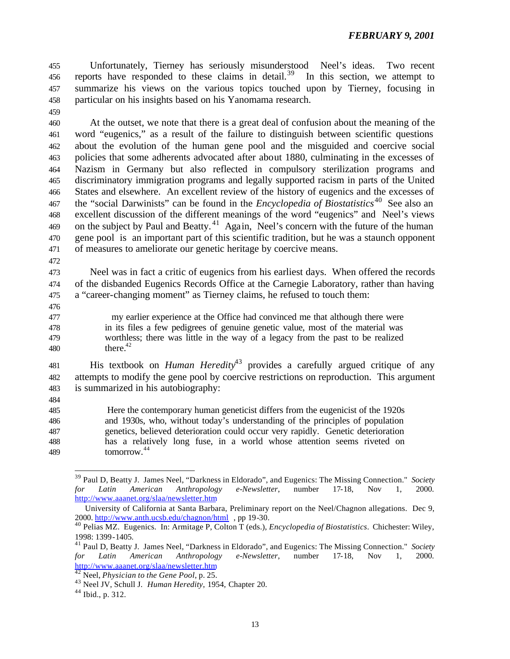Unfortunately, Tierney has seriously misunderstood Neel's ideas. Two recent 456 reports have responded to these claims in detail.<sup>39</sup> In this section, we attempt to summarize his views on the various topics touched upon by Tierney, focusing in particular on his insights based on his Yanomama research.

 At the outset, we note that there is a great deal of confusion about the meaning of the word "eugenics," as a result of the failure to distinguish between scientific questions about the evolution of the human gene pool and the misguided and coercive social policies that some adherents advocated after about 1880, culminating in the excesses of Nazism in Germany but also reflected in compulsory sterilization programs and discriminatory immigration programs and legally supported racism in parts of the United States and elsewhere. An excellent review of the history of eugenics and the excesses of the "social Darwinists" can be found in the *Encyclopedia of Biostatistics*<sup>40</sup> See also an excellent discussion of the different meanings of the word "eugenics" and Neel's views 469 on the subject by Paul and Beatty. Again, Neel's concern with the future of the human gene pool is an important part of this scientific tradition, but he was a staunch opponent of measures to ameliorate our genetic heritage by coercive means.

 Neel was in fact a critic of eugenics from his earliest days. When offered the records of the disbanded Eugenics Records Office at the Carnegie Laboratory, rather than having a "career-changing moment" as Tierney claims, he refused to touch them:

l

 my earlier experience at the Office had convinced me that although there were in its files a few pedigrees of genuine genetic value, most of the material was worthless; there was little in the way of a legacy from the past to be realized 480 there.

481 **His textbook on** *Human Heredity*<sup>43</sup> provides a carefully argued critique of any attempts to modify the gene pool by coercive restrictions on reproduction. This argument is summarized in his autobiography:

 Here the contemporary human geneticist differs from the eugenicist of the 1920s and 1930s, who, without today's understanding of the principles of population genetics, believed deterioration could occur very rapidly. Genetic deterioration has a relatively long fuse, in a world whose attention seems riveted on tomorrow.<sup>44</sup>

 Paul D, Beatty J. James Neel, "Darkness in Eldorado", and Eugenics: The Missing Connection." *Society for Latin American Anthropology e-Newsletter*, number 17-18, Nov 1, 2000. http://www.aaanet.org/slaa/newsletter.htm

University of California at Santa Barbara, Preliminary report on the Neel/Chagnon allegations. Dec 9, 2000. http://www.anth.ucsb.edu/chagnon/html , pp 19-30.

 Pelias MZ. Eugenics. In: Armitage P, Colton T (eds.), *Encyclopedia of Biostatistics*. Chichester: Wiley, 1998: 1399-1405.

 Paul D, Beatty J. James Neel, "Darkness in Eldorado", and Eugenics: The Missing Connection." *Society for Latin American Anthropology e-Newsletter*, number 17-18, Nov 1, 2000. http://www.aaanet.org/slaa/newsletter.htm

Neel, *Physician to the Gene Pool*, p. 25.

Neel JV, Schull J. *Human Heredity*, 1954, Chapter 20.

Ibid., p. 312.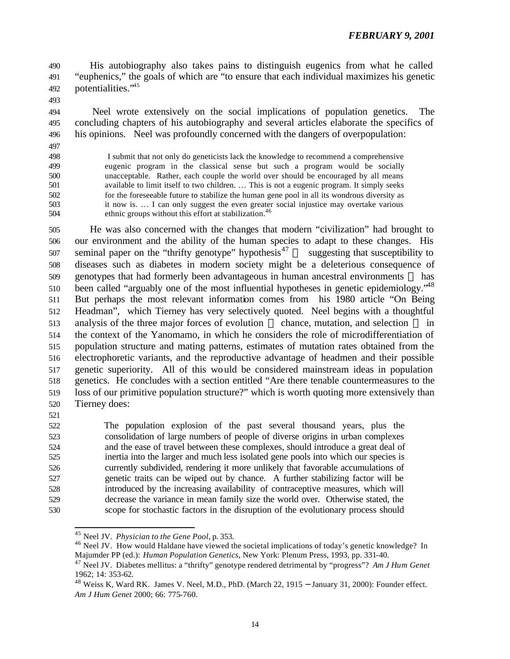His autobiography also takes pains to distinguish eugenics from what he called "euphenics," the goals of which are "to ensure that each individual maximizes his genetic 492 potentialities."

 Neel wrote extensively on the social implications of population genetics. The concluding chapters of his autobiography and several articles elaborate the specifics of his opinions. Neel was profoundly concerned with the dangers of overpopulation:

- -
- 

498 I submit that not only do geneticists lack the knowledge to recommend a comprehensive eugenic program in the classical sense but such a program would be socially unacceptable. Rather, each couple the world over should be encouraged by all means available to limit itself to two children. … This is not a eugenic program. It simply seeks for the foreseeable future to stabilize the human gene pool in all its wondrous diversity as it now is. … I can only suggest the even greater social injustice may overtake various 504 ethnic groups without this effort at stabilization.<sup>46</sup>

 He was also concerned with the changes that modern "civilization" had brought to our environment and the ability of the human species to adapt to these changes. His seminal paper on the "thrifty genotype" hypothesis<sup>47</sup> — suggesting that susceptibility to diseases such as diabetes in modern society might be a deleterious consequence of genotypes that had formerly been advantageous in human ancestral environments has 510 been called "arguably one of the most influential hypotheses in genetic epidemiology."<sup>48</sup> But perhaps the most relevant information comes from his 1980 article "On Being Headman", which Tierney has very selectively quoted. Neel begins with a thoughtful 513 analysis of the three major forces of evolution — chance, mutation, and selection — in the context of the Yanomamo, in which he considers the role of microdifferentiation of population structure and mating patterns, estimates of mutation rates obtained from the electrophoretic variants, and the reproductive advantage of headmen and their possible genetic superiority. All of this would be considered mainstream ideas in population genetics. He concludes with a section entitled "Are there tenable countermeasures to the loss of our primitive population structure?" which is worth quoting more extensively than Tierney does:

l

 The population explosion of the past several thousand years, plus the consolidation of large numbers of people of diverse origins in urban complexes and the ease of travel between these complexes, should introduce a great deal of inertia into the larger and much less isolated gene pools into which our species is currently subdivided, rendering it more unlikely that favorable accumulations of genetic traits can be wiped out by chance. A further stabilizing factor will be introduced by the increasing availability of contraceptive measures, which will decrease the variance in mean family size the world over. Otherwise stated, the scope for stochastic factors in the disruption of the evolutionary process should

Neel JV. *Physician to the Gene Pool*, p. 353.

<sup>&</sup>lt;sup>46</sup> Neel JV. How would Haldane have viewed the societal implications of today's genetic knowledge? In Majumder PP (ed.): *Human Population Genetics*, New York: Plenum Press, 1993, pp. 331-40.

 Neel JV. Diabetes mellitus: a "thrifty" genotype rendered detrimental by "progress"? *Am J Hum Genet*  1962; 14: 353-62.

 Weiss K, Ward RK. James V. Neel, M.D., PhD. (March 22, 1915 − January 31, 2000): Founder effect. *Am J Hum Genet* 2000; 66: 775-760.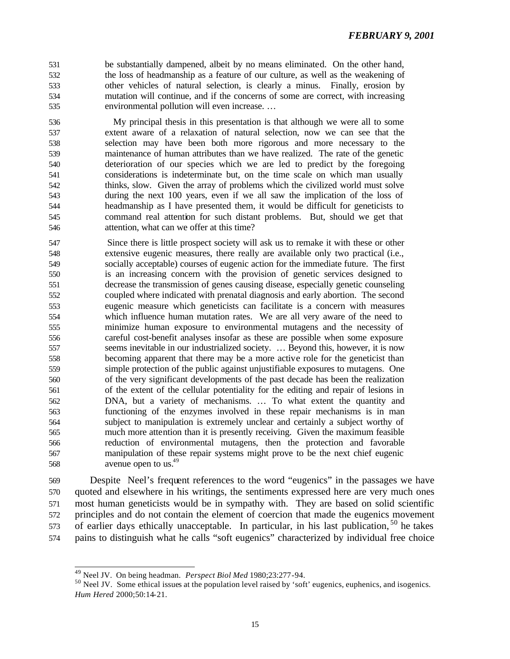be substantially dampened, albeit by no means eliminated. On the other hand, the loss of headmanship as a feature of our culture, as well as the weakening of other vehicles of natural selection, is clearly a minus. Finally, erosion by mutation will continue, and if the concerns of some are correct, with increasing environmental pollution will even increase. …

 My principal thesis in this presentation is that although we were all to some extent aware of a relaxation of natural selection, now we can see that the selection may have been both more rigorous and more necessary to the maintenance of human attributes than we have realized. The rate of the genetic deterioration of our species which we are led to predict by the foregoing considerations is indeterminate but, on the time scale on which man usually thinks, slow. Given the array of problems which the civilized world must solve during the next 100 years, even if we all saw the implication of the loss of headmanship as I have presented them, it would be difficult for geneticists to command real attention for such distant problems. But, should we get that attention, what can we offer at this time?

 Since there is little prospect society will ask us to remake it with these or other extensive eugenic measures, there really are available only two practical (i.e., socially acceptable) courses of eugenic action for the immediate future. The first is an increasing concern with the provision of genetic services designed to decrease the transmission of genes causing disease, especially genetic counseling coupled where indicated with prenatal diagnosis and early abortion. The second eugenic measure which geneticists can facilitate is a concern with measures which influence human mutation rates. We are all very aware of the need to minimize human exposure to environmental mutagens and the necessity of careful cost-benefit analyses insofar as these are possible when some exposure seems inevitable in our industrialized society. … Beyond this, however, it is now becoming apparent that there may be a more active role for the geneticist than simple protection of the public against unjustifiable exposures to mutagens. One of the very significant developments of the past decade has been the realization of the extent of the cellular potentiality for the editing and repair of lesions in DNA, but a variety of mechanisms. … To what extent the quantity and functioning of the enzymes involved in these repair mechanisms is in man subject to manipulation is extremely unclear and certainly a subject worthy of much more attention than it is presently receiving. Given the maximum feasible reduction of environmental mutagens, then the protection and favorable manipulation of these repair systems might prove to be the next chief eugenic 568 avenue open to us.<sup>49</sup>

 Despite Neel's frequent references to the word "eugenics" in the passages we have quoted and elsewhere in his writings, the sentiments expressed here are very much ones most human geneticists would be in sympathy with. They are based on solid scientific principles and do not contain the element of coercion that made the eugenics movement 573 of earlier days ethically unacceptable. In particular, in his last publication, he takes pains to distinguish what he calls "soft eugenics" characterized by individual free choice

Neel JV. On being headman. *Perspect Biol Med* 1980;23:277-94.

<sup>&</sup>lt;sup>50</sup> Neel JV. Some ethical issues at the population level raised by 'soft' eugenics, euphenics, and isogenics. *Hum Hered* 2000;50:14-21.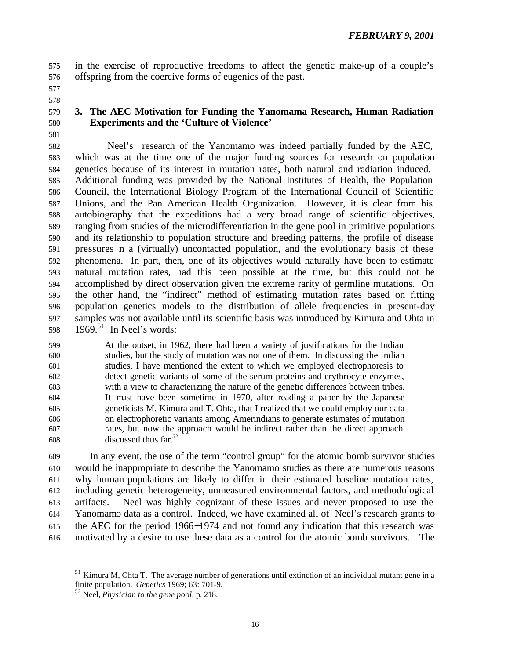in the exercise of reproductive freedoms to affect the genetic make-up of a couple's offspring from the coercive forms of eugenics of the past.

- 
- 

 **3. The AEC Motivation for Funding the Yanomama Research, Human Radiation Experiments and the 'Culture of Violence'**

 Neel's research of the Yanomamo was indeed partially funded by the AEC, which was at the time one of the major funding sources for research on population genetics because of its interest in mutation rates, both natural and radiation induced. Additional funding was provided by the National Institutes of Health, the Population Council, the International Biology Program of the International Council of Scientific Unions, and the Pan American Health Organization. However, it is clear from his autobiography that the expeditions had a very broad range of scientific objectives, ranging from studies of the microdifferentiation in the gene pool in primitive populations and its relationship to population structure and breeding patterns, the profile of disease pressures in a (virtually) uncontacted population, and the evolutionary basis of these phenomena. In part, then, one of its objectives would naturally have been to estimate natural mutation rates, had this been possible at the time, but this could not be accomplished by direct observation given the extreme rarity of germline mutations. On the other hand, the "indirect" method of estimating mutation rates based on fitting population genetics models to the distribution of allele frequencies in present-day samples was not available until its scientific basis was introduced by Kimura and Ohta in  $1969^{51}$  In Neel's words:

 At the outset, in 1962, there had been a variety of justifications for the Indian studies, but the study of mutation was not one of them. In discussing the Indian studies, I have mentioned the extent to which we employed electrophoresis to detect genetic variants of some of the serum proteins and erythrocyte enzymes, with a view to characterizing the nature of the genetic differences between tribes. It must have been sometime in 1970, after reading a paper by the Japanese geneticists M. Kimura and T. Ohta, that I realized that we could employ our data on electrophoretic variants among Amerindians to generate estimates of mutation rates, but now the approach would be indirect rather than the direct approach discussed thus far.<sup>52</sup>

 In any event, the use of the term "control group" for the atomic bomb survivor studies would be inappropriate to describe the Yanomamo studies as there are numerous reasons why human populations are likely to differ in their estimated baseline mutation rates, including genetic heterogeneity, unmeasured environmental factors, and methodological artifacts. Neel was highly cognizant of these issues and never proposed to use the Yanomamo data as a control. Indeed, we have examined all of Neel's research grants to the AEC for the period 1966−1974 and not found any indication that this research was motivated by a desire to use these data as a control for the atomic bomb survivors. The

 Kimura M, Ohta T. The average number of generations until extinction of an individual mutant gene in a finite population. *Genetics* 1969; 63: 701-9.

Neel, *Physician to the gene pool,* p. 218.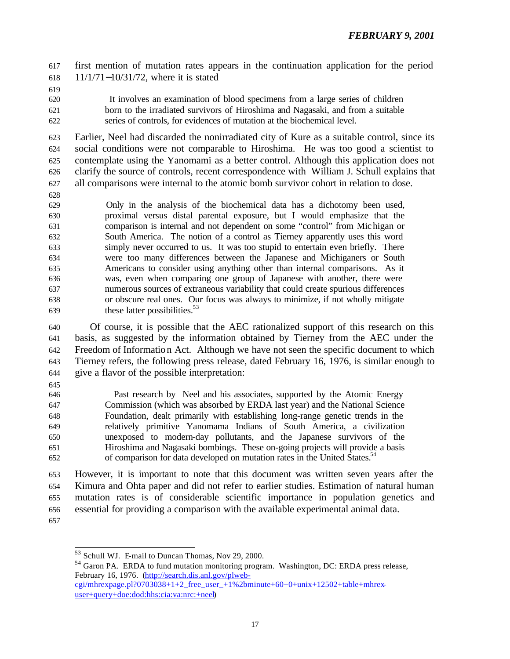first mention of mutation rates appears in the continuation application for the period 11/1/71−10/31/72, where it is stated

- 
- It involves an examination of blood specimens from a large series of children born to the irradiated survivors of Hiroshima and Nagasaki, and from a suitable series of controls, for evidences of mutation at the biochemical level.

 Earlier, Neel had discarded the nonirradiated city of Kure as a suitable control, since its social conditions were not comparable to Hiroshima. He was too good a scientist to contemplate using the Yanomami as a better control. Although this application does not clarify the source of controls, recent correspondence with William J. Schull explains that all comparisons were internal to the atomic bomb survivor cohort in relation to dose.

 Only in the analysis of the biochemical data has a dichotomy been used, proximal versus distal parental exposure, but I would emphasize that the comparison is internal and not dependent on some "control" from Michigan or South America. The notion of a control as Tierney apparently uses this word simply never occurred to us. It was too stupid to entertain even briefly. There were too many differences between the Japanese and Michiganers or South Americans to consider using anything other than internal comparisons. As it was, even when comparing one group of Japanese with another, there were numerous sources of extraneous variability that could create spurious differences or obscure real ones. Our focus was always to minimize, if not wholly mitigate  $t$  these latter possibilities.<sup>53</sup>

 Of course, it is possible that the AEC rationalized support of this research on this basis, as suggested by the information obtained by Tierney from the AEC under the Freedom of Information Act. Although we have not seen the specific document to which Tierney refers, the following press release, dated February 16, 1976, is similar enough to give a flavor of the possible interpretation:

 Past research by Neel and his associates, supported by the Atomic Energy Commission (which was absorbed by ERDA last year) and the National Science Foundation, dealt primarily with establishing long-range genetic trends in the relatively primitive Yanomama Indians of South America, a civilization unexposed to modern-day pollutants, and the Japanese survivors of the Hiroshima and Nagasaki bombings. These on-going projects will provide a basis of comparison for data developed on mutation rates in the United States.<sup>54</sup>

 However, it is important to note that this document was written seven years after the Kimura and Ohta paper and did not refer to earlier studies. Estimation of natural human mutation rates is of considerable scientific importance in population genetics and essential for providing a comparison with the available experimental animal data. 

l <sup>53</sup> Schull WJ. E-mail to Duncan Thomas, Nov 29, 2000.

<sup>&</sup>lt;sup>54</sup> Garon PA. ERDA to fund mutation monitoring program. Washington, DC: ERDA press release, February 16, 1976. (http://search.dis.anl.gov/plwebcgi/mhrexpage.pl?0703038+1+2\_free\_user\_+1%2bminute+60+0+unix+12502+table+mhrexuser+query+doe:dod:hhs:cia:va:nrc:+neel)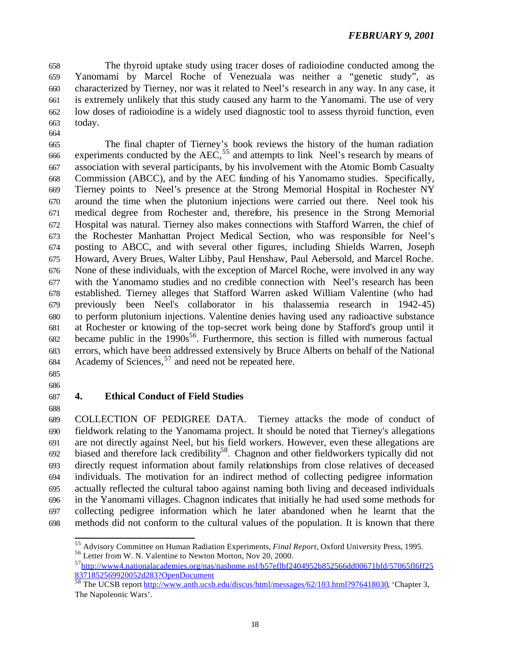The thyroid uptake study using tracer doses of radioiodine conducted among the Yanomami by Marcel Roche of Venezuala was neither a "genetic study", as characterized by Tierney, nor was it related to Neel's research in any way. In any case, it is extremely unlikely that this study caused any harm to the Yanomami. The use of very low doses of radioiodine is a widely used diagnostic tool to assess thyroid function, even today.

 The final chapter of Tierney's book reviews the history of the human radiation experiments conducted by the AEC, and attempts to link Neel's research by means of association with several participants, by his involvement with the Atomic Bomb Casualty Commission (ABCC), and by the AEC funding of his Yanomamo studies. Specifically, Tierney points to Neel's presence at the Strong Memorial Hospital in Rochester NY around the time when the plutonium injections were carried out there. Neel took his medical degree from Rochester and, therefore, his presence in the Strong Memorial Hospital was natural. Tierney also makes connections with Stafford Warren, the chief of the Rochester Manhattan Project Medical Section, who was responsible for Neel's posting to ABCC, and with several other figures, including Shields Warren, Joseph Howard, Avery Brues, Walter Libby, Paul Henshaw, Paul Aebersold, and Marcel Roche. None of these individuals, with the exception of Marcel Roche, were involved in any way with the Yanomamo studies and no credible connection with Neel's research has been established. Tierney alleges that Stafford Warren asked William Valentine (who had previously been Neel's collaborator in his thalassemia research in 1942-45) to perform plutonium injections. Valentine denies having used any radioactive substance at Rochester or knowing of the top-secret work being done by Stafford's group until it 682 became public in the  $1990s^{56}$ . Furthermore, this section is filled with numerous factual errors, which have been addressed extensively by Bruce Alberts on behalf of the National 684 Academy of Sciences, and need not be repeated here.

# **4. Ethical Conduct of Field Studies**

 COLLECTION OF PEDIGREE DATA. Tierney attacks the mode of conduct of fieldwork relating to the Yanomama project. It should be noted that Tierney's allegations are not directly against Neel, but his field workers. However, even these allegations are biased and therefore lack credibility<sup>58</sup>. Chagnon and other fieldworkers typically did not directly request information about family relationships from close relatives of deceased individuals. The motivation for an indirect method of collecting pedigree information actually reflected the cultural taboo against naming both living and deceased individuals in the Yanomami villages. Chagnon indicates that initially he had used some methods for collecting pedigree information which he later abandoned when he learnt that the methods did not conform to the cultural values of the population. It is known that there

l Advisory Committee on Human Radiation Experiments, *Final Report*, Oxford University Press, 1995.

Letter from W. N. Valentine to Newton Morton, Nov 20, 2000.

http://www4.nationalacademies.org/nas/nashome.nsf/b57eflbf2404952b852566dd00671bfd/57065fl6ff25 8371852569920052d283?OpenDocument

<sup>&</sup>lt;sup>58</sup> The UCSB report http://www.anth.ucsb.edu/discus/html/messages/62/103.html?976418030, 'Chapter 3, The Napoleonic Wars'.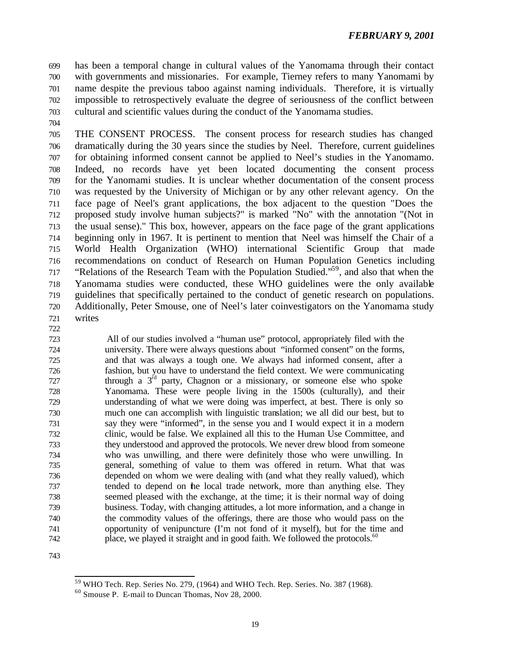has been a temporal change in cultural values of the Yanomama through their contact with governments and missionaries. For example, Tierney refers to many Yanomami by name despite the previous taboo against naming individuals. Therefore, it is virtually impossible to retrospectively evaluate the degree of seriousness of the conflict between cultural and scientific values during the conduct of the Yanomama studies.

 THE CONSENT PROCESS. The consent process for research studies has changed dramatically during the 30 years since the studies by Neel. Therefore, current guidelines for obtaining informed consent cannot be applied to Neel's studies in the Yanomamo. Indeed, no records have yet been located documenting the consent process for the Yanomami studies. It is unclear whether documentation of the consent process was requested by the University of Michigan or by any other relevant agency. On the face page of Neel's grant applications, the box adjacent to the question "Does the proposed study involve human subjects?" is marked "No" with the annotation "(Not in the usual sense)." This box, however, appears on the face page of the grant applications beginning only in 1967. It is pertinent to mention that Neel was himself the Chair of a World Health Organization (WHO) international Scientific Group that made recommendations on conduct of Research on Human Population Genetics including ""Relations of the Research Team with the Population Studied."<sup>59</sup>, and also that when the Yanomama studies were conducted, these WHO guidelines were the only available guidelines that specifically pertained to the conduct of genetic research on populations. Additionally, Peter Smouse, one of Neel's later coinvestigators on the Yanomama study writes

 All of our studies involved a "human use" protocol, appropriately filed with the university. There were always questions about "informed consent" on the forms, and that was always a tough one. We always had informed consent, after a fashion, but you have to understand the field context. We were communicating through a  $3<sup>rd</sup>$  party, Chagnon or a missionary, or someone else who spoke Yanomama. These were people living in the 1500s (culturally), and their understanding of what we were doing was imperfect, at best. There is only so much one can accomplish with linguistic translation; we all did our best, but to say they were "informed", in the sense you and I would expect it in a modern clinic, would be false. We explained all this to the Human Use Committee, and they understood and approved the protocols. We never drew blood from someone who was unwilling, and there were definitely those who were unwilling. In general, something of value to them was offered in return. What that was depended on whom we were dealing with (and what they really valued), which tended to depend on the local trade network, more than anything else. They seemed pleased with the exchange, at the time; it is their normal way of doing business. Today, with changing attitudes, a lot more information, and a change in the commodity values of the offerings, there are those who would pass on the opportunity of venipuncture (I'm not fond of it myself), but for the time and  $p$  place, we played it straight and in good faith. We followed the protocols.<sup>60</sup>

<sup>&</sup>lt;sup>59</sup> WHO Tech. Rep. Series No. 279, (1964) and WHO Tech. Rep. Series. No. 387 (1968).

Smouse P. E-mail to Duncan Thomas, Nov 28, 2000.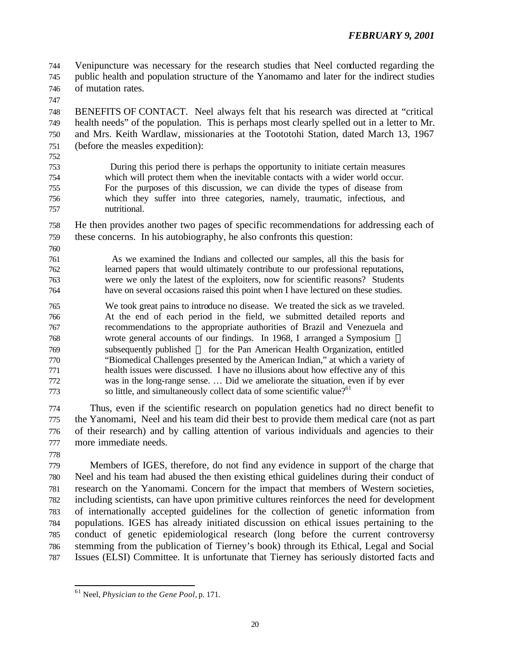Venipuncture was necessary for the research studies that Neel conducted regarding the public health and population structure of the Yanomamo and later for the indirect studies of mutation rates.

 BENEFITS OF CONTACT. Neel always felt that his research was directed at "critical health needs" of the population. This is perhaps most clearly spelled out in a letter to Mr. and Mrs. Keith Wardlaw, missionaries at the Toototohi Station, dated March 13, 1967 (before the measles expedition):

 During this period there is perhaps the opportunity to initiate certain measures which will protect them when the inevitable contacts with a wider world occur. For the purposes of this discussion, we can divide the types of disease from which they suffer into three categories, namely, traumatic, infectious, and nutritional.

 He then provides another two pages of specific recommendations for addressing each of these concerns. In his autobiography, he also confronts this question:

 As we examined the Indians and collected our samples, all this the basis for learned papers that would ultimately contribute to our professional reputations, were we only the latest of the exploiters, now for scientific reasons? Students have on several occasions raised this point when I have lectured on these studies.

 We took great pains to introduce no disease. We treated the sick as we traveled. At the end of each period in the field, we submitted detailed reports and recommendations to the appropriate authorities of Brazil and Venezuela and wrote general accounts of our findings. In 1968, I arranged a Symposium subsequently published for the Pan American Health Organization, entitled "Biomedical Challenges presented by the American Indian," at which a variety of health issues were discussed. I have no illusions about how effective any of this was in the long-range sense. … Did we ameliorate the situation, even if by ever  $\sigma$  373 673 773 673 80 little, and simultaneously collect data of some scientific value?<sup>61</sup>

 Thus, even if the scientific research on population genetics had no direct benefit to the Yanomami, Neel and his team did their best to provide them medical care (not as part of their research) and by calling attention of various individuals and agencies to their more immediate needs.

 Members of IGES, therefore, do not find any evidence in support of the charge that Neel and his team had abused the then existing ethical guidelines during their conduct of research on the Yanomami. Concern for the impact that members of Western societies, including scientists, can have upon primitive cultures reinforces the need for development of internationally accepted guidelines for the collection of genetic information from populations. IGES has already initiated discussion on ethical issues pertaining to the conduct of genetic epidemiological research (long before the current controversy stemming from the publication of Tierney's book) through its Ethical, Legal and Social Issues (ELSI) Committee. It is unfortunate that Tierney has seriously distorted facts and

l Neel, *Physician to the Gene Pool,* p. 171.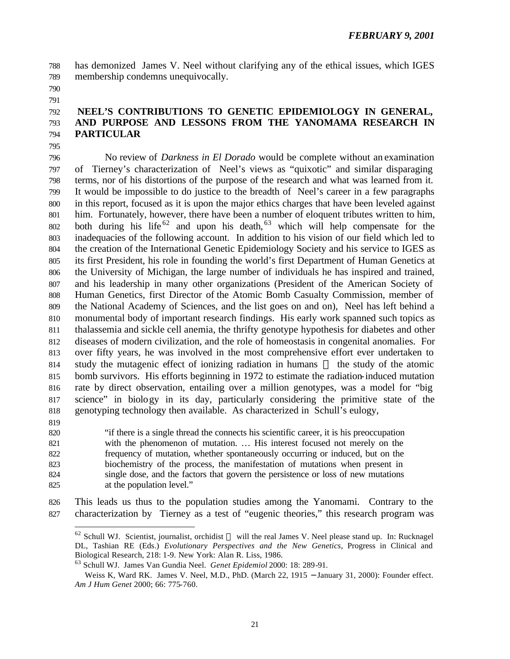has demonized James V. Neel without clarifying any of the ethical issues, which IGES membership condemns unequivocally.

- 
- 

## **NEEL'S CONTRIBUTIONS TO GENETIC EPIDEMIOLOGY IN GENERAL, AND PURPOSE AND LESSONS FROM THE YANOMAMA RESEARCH IN PARTICULAR**

 No review of *Darkness in El Dorado* would be complete without an examination of Tierney's characterization of Neel's views as "quixotic" and similar disparaging terms, nor of his distortions of the purpose of the research and what was learned from it. It would be impossible to do justice to the breadth of Neel's career in a few paragraphs in this report, focused as it is upon the major ethics charges that have been leveled against him. Fortunately, however, there have been a number of eloquent tributes written to him, 802 both during his life and upon his death,  $63$  which will help compensate for the inadequacies of the following account. In addition to his vision of our field which led to the creation of the International Genetic Epidemiology Society and his service to IGES as its first President, his role in founding the world's first Department of Human Genetics at the University of Michigan, the large number of individuals he has inspired and trained, and his leadership in many other organizations (President of the American Society of Human Genetics, first Director of the Atomic Bomb Casualty Commission, member of the National Academy of Sciences, and the list goes on and on), Neel has left behind a monumental body of important research findings. His early work spanned such topics as thalassemia and sickle cell anemia, the thrifty genotype hypothesis for diabetes and other diseases of modern civilization, and the role of homeostasis in congenital anomalies. For over fifty years, he was involved in the most comprehensive effort ever undertaken to 814 study the mutagenic effect of ionizing radiation in humans — the study of the atomic bomb survivors. His efforts beginning in 1972 to estimate the radiation-induced mutation rate by direct observation, entailing over a million genotypes, was a model for "big science" in biology in its day, particularly considering the primitive state of the genotyping technology then available. As characterized in Schull's eulogy,

l

 "if there is a single thread the connects his scientific career, it is his preoccupation with the phenomenon of mutation. … His interest focused not merely on the frequency of mutation, whether spontaneously occurring or induced, but on the biochemistry of the process, the manifestation of mutations when present in single dose, and the factors that govern the persistence or loss of new mutations at the population level."

 This leads us thus to the population studies among the Yanomami. Contrary to the characterization by Tierney as a test of "eugenic theories," this research program was

 Schull WJ. Scientist, journalist, orchidist — will the real James V. Neel please stand up. In: Rucknagel DL, Tashian RE (Eds.) *Evolutionary Perspectives and the New Genetics*, Progress in Clinical and Biological Research, 218: 1-9. New York: Alan R. Liss, 1986.

Schull WJ. James Van Gundia Neel. *Genet Epidemiol* 2000: 18: 289-91.

Weiss K, Ward RK. James V. Neel, M.D., PhD. (March 22, 1915 − January 31, 2000): Founder effect. *Am J Hum Genet* 2000; 66: 775-760.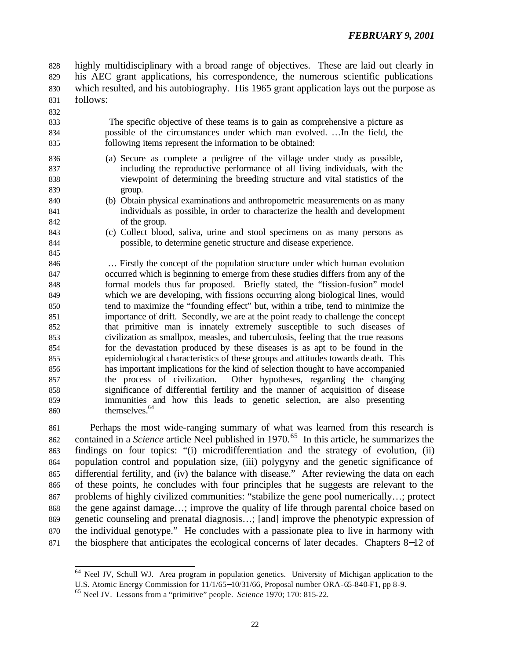highly multidisciplinary with a broad range of objectives. These are laid out clearly in his AEC grant applications, his correspondence, the numerous scientific publications which resulted, and his autobiography. His 1965 grant application lays out the purpose as follows:

- 
- 

 The specific objective of these teams is to gain as comprehensive a picture as possible of the circumstances under which man evolved. …In the field, the following items represent the information to be obtained:

- (a) Secure as complete a pedigree of the village under study as possible, including the reproductive performance of all living individuals, with the viewpoint of determining the breeding structure and vital statistics of the group.
- (b) Obtain physical examinations and anthropometric measurements on as many individuals as possible, in order to characterize the health and development of the group.
- 

l

 (c) Collect blood, saliva, urine and stool specimens on as many persons as possible, to determine genetic structure and disease experience.

 … Firstly the concept of the population structure under which human evolution occurred which is beginning to emerge from these studies differs from any of the formal models thus far proposed. Briefly stated, the "fission-fusion" model which we are developing, with fissions occurring along biological lines, would tend to maximize the "founding effect" but, within a tribe, tend to minimize the importance of drift. Secondly, we are at the point ready to challenge the concept that primitive man is innately extremely susceptible to such diseases of civilization as smallpox, measles, and tuberculosis, feeling that the true reasons for the devastation produced by these diseases is as apt to be found in the epidemiological characteristics of these groups and attitudes towards death. This has important implications for the kind of selection thought to have accompanied the process of civilization. Other hypotheses, regarding the changing significance of differential fertility and the manner of acquisition of disease immunities and how this leads to genetic selection, are also presenting 860 themselves.<sup>64</sup>

 Perhaps the most wide-ranging summary of what was learned from this research is 862 contained in a *Science* article Neel published in 1970.<sup>65</sup> In this article, he summarizes the findings on four topics: "(i) microdifferentiation and the strategy of evolution, (ii) population control and population size, (iii) polygyny and the genetic significance of differential fertility, and (iv) the balance with disease." After reviewing the data on each of these points, he concludes with four principles that he suggests are relevant to the 867 problems of highly civilized communities: "stabilize the gene pool numerically...; protect the gene against damage…; improve the quality of life through parental choice based on genetic counseling and prenatal diagnosis…; [and] improve the phenotypic expression of the individual genotype." He concludes with a passionate plea to live in harmony with 871 the biosphere that anticipates the ecological concerns of later decades. Chapters 8–12 of

<sup>&</sup>lt;sup>64</sup> Neel JV, Schull WJ. Area program in population genetics. University of Michigan application to the U.S. Atomic Energy Commission for 11/1/65−10/31/66, Proposal number ORA-65-840-F1, pp 8-9.

Neel JV. Lessons from a "primitive" people. *Science* 1970; 170: 815-22.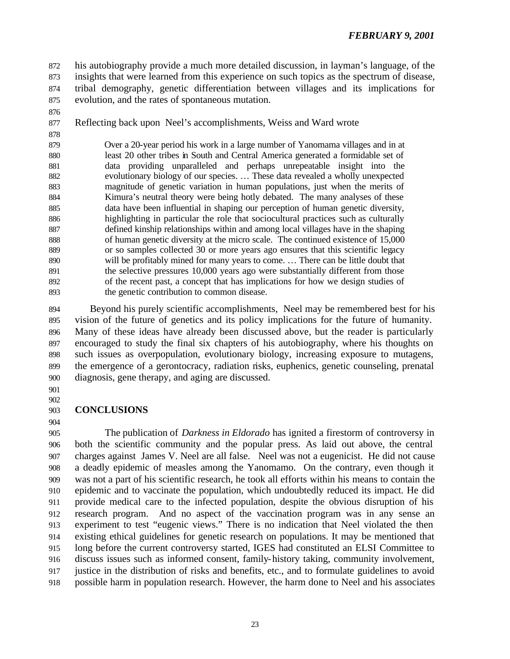his autobiography provide a much more detailed discussion, in layman's language, of the insights that were learned from this experience on such topics as the spectrum of disease, tribal demography, genetic differentiation between villages and its implications for evolution, and the rates of spontaneous mutation.

- 
- Reflecting back upon Neel's accomplishments, Weiss and Ward wrote
- Over a 20-year period his work in a large number of Yanomama villages and in at

 least 20 other tribes in South and Central America generated a formidable set of data providing unparalleled and perhaps unrepeatable insight into the evolutionary biology of our species. … These data revealed a wholly unexpected magnitude of genetic variation in human populations, just when the merits of Kimura's neutral theory were being hotly debated. The many analyses of these data have been influential in shaping our perception of human genetic diversity, highlighting in particular the role that sociocultural practices such as culturally defined kinship relationships within and among local villages have in the shaping of human genetic diversity at the micro scale. The continued existence of 15,000 or so samples collected 30 or more years ago ensures that this scientific legacy will be profitably mined for many years to come. … There can be little doubt that the selective pressures 10,000 years ago were substantially different from those of the recent past, a concept that has implications for how we design studies of the genetic contribution to common disease.

 Beyond his purely scientific accomplishments, Neel may be remembered best for his vision of the future of genetics and its policy implications for the future of humanity. Many of these ideas have already been discussed above, but the reader is particularly encouraged to study the final six chapters of his autobiography, where his thoughts on such issues as overpopulation, evolutionary biology, increasing exposure to mutagens, the emergence of a gerontocracy, radiation risks, euphenics, genetic counseling, prenatal diagnosis, gene therapy, and aging are discussed.

 

# **CONCLUSIONS**

 The publication of *Darkness in Eldorado* has ignited a firestorm of controversy in both the scientific community and the popular press. As laid out above, the central charges against James V. Neel are all false. Neel was not a eugenicist. He did not cause a deadly epidemic of measles among the Yanomamo. On the contrary, even though it was not a part of his scientific research, he took all efforts within his means to contain the epidemic and to vaccinate the population, which undoubtedly reduced its impact. He did provide medical care to the infected population, despite the obvious disruption of his research program. And no aspect of the vaccination program was in any sense an experiment to test "eugenic views." There is no indication that Neel violated the then existing ethical guidelines for genetic research on populations. It may be mentioned that long before the current controversy started, IGES had constituted an ELSI Committee to discuss issues such as informed consent, family-history taking, community involvement, justice in the distribution of risks and benefits, etc., and to formulate guidelines to avoid possible harm in population research. However, the harm done to Neel and his associates